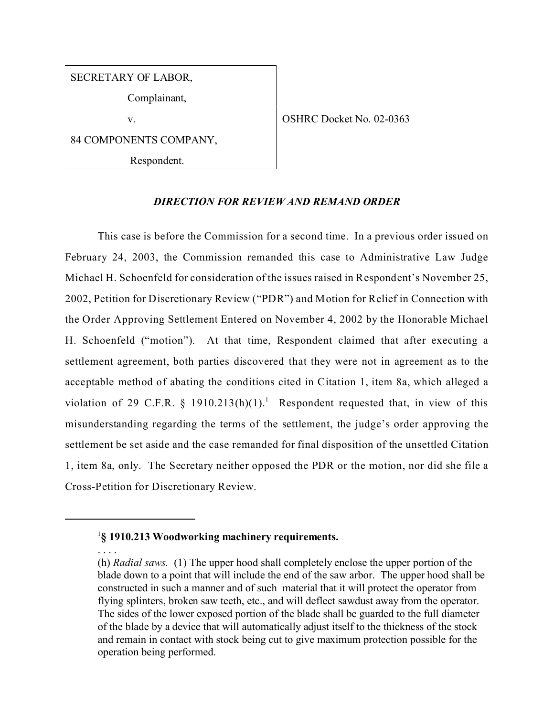SECRETARY OF LABOR,

Complainant,

v.  $\qquad \qquad \text{OSHRC Docket No. 02-0363}$ 

84 COMPONENTS COMPANY,

Respondent.

## *DIRECTION FOR REVIEW AND REMAND ORDER*

This case is before the Commission for a second time. In a previous order issued on February 24, 2003, the Commission remanded this case to Administrative Law Judge Michael H. Schoenfeld for consideration of the issues raised in Respondent's November 25, 2002, Petition for Discretionary Review ("PDR") and Motion for Relief in Connection with the Order Approving Settlement Entered on November 4, 2002 by the Honorable Michael H. Schoenfeld ("motion"). At that time, Respondent claimed that after executing a settlement agreement, both parties discovered that they were not in agreement as to the acceptable method of abating the conditions cited in Citation 1, item 8a, which alleged a violation of 29 C.F.R. § 1910.213(h)(1).<sup>1</sup> Respondent requested that, in view of this misunderstanding regarding the terms of the settlement, the judge's order approving the settlement be set aside and the case remanded for final disposition of the unsettled Citation 1, item 8a, only. The Secretary neither opposed the PDR or the motion, nor did she file a Cross-Petition for Discretionary Review.

<sup>1</sup> **§ 1910.213 Woodworking machinery requirements.**

<sup>. . . .</sup>

<sup>(</sup>h) *Radial saws.* (1) The upper hood shall completely enclose the upper portion of the blade down to a point that will include the end of the saw arbor. The upper hood shall be constructed in such a manner and of such material that it will protect the operator from flying splinters, broken saw teeth, etc., and will deflect sawdust away from the operator. The sides of the lower exposed portion of the blade shall be guarded to the full diameter of the blade by a device that will automatically adjust itself to the thickness of the stock and remain in contact with stock being cut to give maximum protection possible for the operation being performed.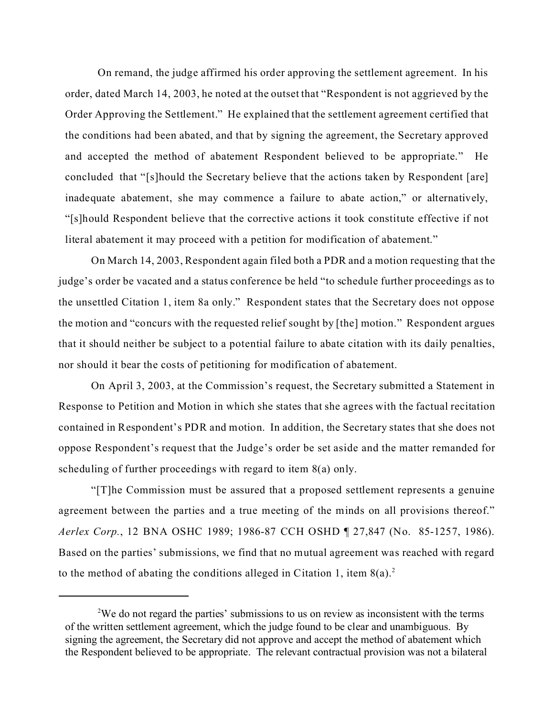On remand, the judge affirmed his order approving the settlement agreement. In his order, dated March 14, 2003, he noted at the outset that "Respondent is not aggrieved by the Order Approving the Settlement." He explained that the settlement agreement certified that the conditions had been abated, and that by signing the agreement, the Secretary approved and accepted the method of abatement Respondent believed to be appropriate." He concluded that "[s]hould the Secretary believe that the actions taken by Respondent [are] inadequate abatement, she may commence a failure to abate action," or alternatively, "[s]hould Respondent believe that the corrective actions it took constitute effective if not literal abatement it may proceed with a petition for modification of abatement."

On March 14, 2003, Respondent again filed both a PDR and a motion requesting that the judge's order be vacated and a status conference be held "to schedule further proceedings as to the unsettled Citation 1, item 8a only." Respondent states that the Secretary does not oppose the motion and "concurs with the requested relief sought by [the] motion." Respondent argues that it should neither be subject to a potential failure to abate citation with its daily penalties, nor should it bear the costs of petitioning for modification of abatement.

On April 3, 2003, at the Commission's request, the Secretary submitted a Statement in Response to Petition and Motion in which she states that she agrees with the factual recitation contained in Respondent's PDR and motion. In addition, the Secretary states that she does not oppose Respondent's request that the Judge's order be set aside and the matter remanded for scheduling of further proceedings with regard to item 8(a) only.

"[T]he Commission must be assured that a proposed settlement represents a genuine agreement between the parties and a true meeting of the minds on all provisions thereof." *Aerlex Corp.*, 12 BNA OSHC 1989; 1986-87 CCH OSHD ¶ 27,847 (No. 85-1257, 1986). Based on the parties' submissions, we find that no mutual agreement was reached with regard to the method of abating the conditions alleged in Citation 1, item  $8(a)$ .<sup>2</sup>

<sup>&</sup>lt;sup>2</sup>We do not regard the parties' submissions to us on review as inconsistent with the terms of the written settlement agreement, which the judge found to be clear and unambiguous. By signing the agreement, the Secretary did not approve and accept the method of abatement which the Respondent believed to be appropriate. The relevant contractual provision was not a bilateral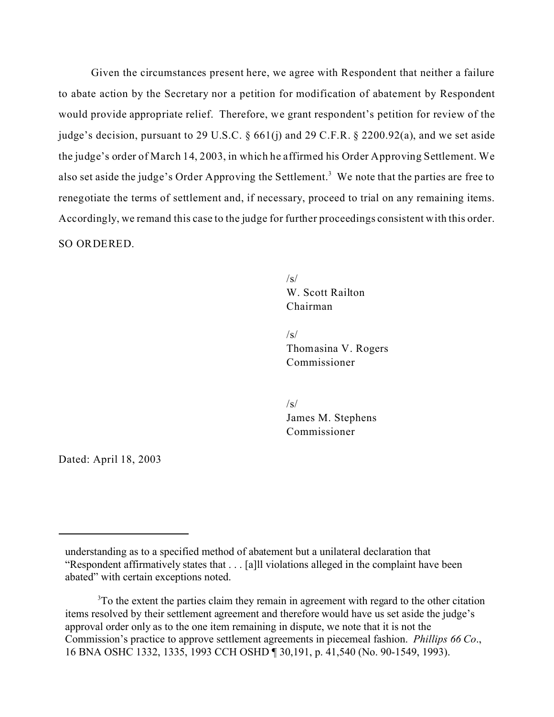Given the circumstances present here, we agree with Respondent that neither a failure to abate action by the Secretary nor a petition for modification of abatement by Respondent would provide appropriate relief. Therefore, we grant respondent's petition for review of the judge's decision, pursuant to 29 U.S.C.  $\frac{661}{i}$  and 29 C.F.R.  $\frac{2200.92}{a}$ , and we set aside the judge's order of March 14, 2003, in which he affirmed his Order Approving Settlement. We also set aside the judge's Order Approving the Settlement.<sup>3</sup> We note that the parties are free to renegotiate the terms of settlement and, if necessary, proceed to trial on any remaining items. Accordingly, we remand this case to the judge for further proceedings consistent with this order. SO ORDERED.

> /s/ W. Scott Railton Chairman

 $/s/$ Thomasina V. Rogers Commissioner

 $\sqrt{s}$ James M. Stephens Commissioner

Dated: April 18, 2003

understanding as to a specified method of abatement but a unilateral declaration that "Respondent affirmatively states that . . . [a]ll violations alleged in the complaint have been abated" with certain exceptions noted.

<sup>&</sup>lt;sup>3</sup>To the extent the parties claim they remain in agreement with regard to the other citation items resolved by their settlement agreement and therefore would have us set aside the judge's approval order only as to the one item remaining in dispute, we note that it is not the Commission's practice to approve settlement agreements in piecemeal fashion. *Phillips 66 Co*., 16 BNA OSHC 1332, 1335, 1993 CCH OSHD ¶ 30,191, p. 41,540 (No. 90-1549, 1993).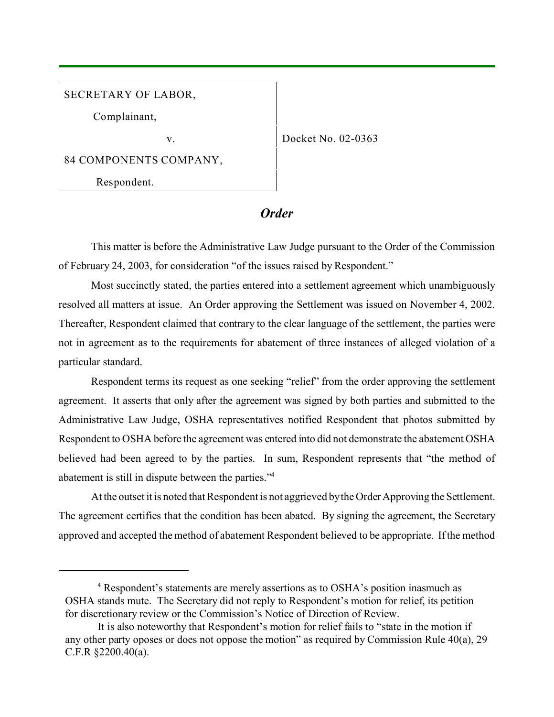SECRETARY OF LABOR,

Complainant,

v. Docket No. 02-0363

84 COMPONENTS COMPANY,

Respondent.

*Order*

This matter is before the Administrative Law Judge pursuant to the Order of the Commission of February 24, 2003, for consideration "of the issues raised by Respondent."

Most succinctly stated, the parties entered into a settlement agreement which unambiguously resolved all matters at issue. An Order approving the Settlement was issued on November 4, 2002. Thereafter, Respondent claimed that contrary to the clear language of the settlement, the parties were not in agreement as to the requirements for abatement of three instances of alleged violation of a particular standard.

Respondent terms its request as one seeking "relief" from the order approving the settlement agreement. It asserts that only after the agreement was signed by both parties and submitted to the Administrative Law Judge, OSHA representatives notified Respondent that photos submitted by Respondent to OSHA before the agreement was entered into did not demonstrate the abatement OSHA believed had been agreed to by the parties. In sum, Respondent represents that "the method of abatement is still in dispute between the parties."<sup>4</sup>

At the outset it is noted that Respondent is not aggrieved by the Order Approving the Settlement. The agreement certifies that the condition has been abated. By signing the agreement, the Secretary approved and accepted the method of abatement Respondent believed to be appropriate. If the method

<sup>&</sup>lt;sup>4</sup> Respondent's statements are merely assertions as to OSHA's position inasmuch as OSHA stands mute. The Secretary did not reply to Respondent's motion for relief, its petition for discretionary review or the Commission's Notice of Direction of Review.

It is also noteworthy that Respondent's motion for relief fails to "state in the motion if any other party oposes or does not oppose the motion" as required by Commission Rule 40(a), 29 C.F.R §2200.40(a).